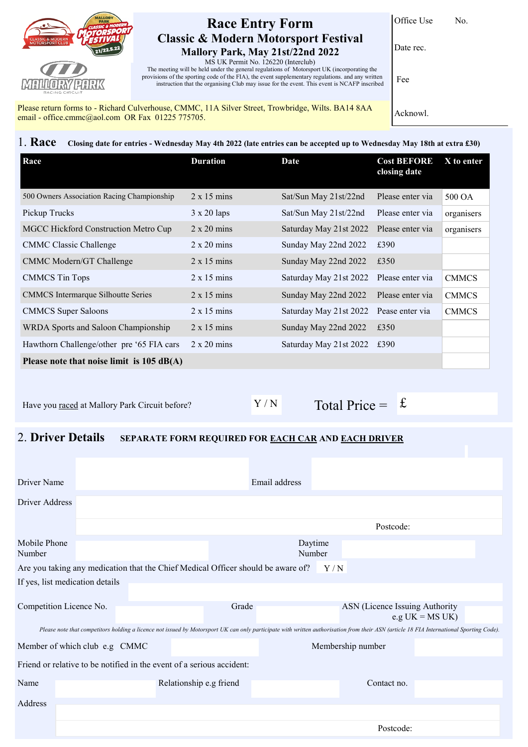

## **Race Entry Form Classic & Modern Motorsport Festival Mallory Park, May 21st/22nd 2022**

Office Use No.

Date rec.

MS UK Permit No. 126220 (Interclub) The meeting will be held under the general regulations of Motorsport UK (incorporating the provisions of the sporting code of the FIA), the event supplementary regulations. and any written instruction that the organising Club may issue for the event. This event is NCAFP inscribed

Please return forms to - Richard Culverhouse, CMMC, 11A Silver Street, Trowbridge, Wilts. BA14 8AA email - office.cmmc@aol.com OR Fax 01225 775705.

Acknowl.

Fee

1. **Race Closing date for entries - Wednesday May 4th 2022 (late entries can be accepted up to Wednesday May 18th at extra £30)**

| Race                                                | <b>Duration</b>    | Date                   | <b>Cost BEFORE</b><br>closing date | $X$ to enter |
|-----------------------------------------------------|--------------------|------------------------|------------------------------------|--------------|
| 500 Owners Association Racing Championship          | $2 \times 15$ mins | Sat/Sun May 21st/22nd  | Please enter via                   | 500 OA       |
| Pickup Trucks                                       | $3 \times 20$ laps | Sat/Sun May 21st/22nd  | Please enter via                   | organisers   |
| MGCC Hickford Construction Metro Cup                | $2 \times 20$ mins | Saturday May 21st 2022 | Please enter via                   | organisers   |
| <b>CMMC Classic Challenge</b>                       | $2 \times 20$ mins | Sunday May 22nd 2022   | £390                               |              |
| CMMC Modern/GT Challenge                            | $2 \times 15$ mins | Sunday May 22nd 2022   | £350                               |              |
| <b>CMMCS</b> Tin Tops                               | $2 \times 15$ mins | Saturday May 21st 2022 | Please enter via                   | <b>CMMCS</b> |
| <b>CMMCS</b> Intermarque Silhoutte Series           | $2 \times 15$ mins | Sunday May 22nd 2022   | Please enter via                   | <b>CMMCS</b> |
| <b>CMMCS</b> Super Saloons                          | $2 \times 15$ mins | Saturday May 21st 2022 | Pease enter via                    | <b>CMMCS</b> |
| WRDA Sports and Saloon Championship                 | $2 \times 15$ mins | Sunday May 22nd 2022   | £350                               |              |
| Hawthorn Challenge/other pre '65 FIA cars           | $2 \times 20$ mins | Saturday May 21st 2022 | £390                               |              |
| Please note that noise limit is $105 \text{ dB}(A)$ |                    |                        |                                    |              |

Have you raced at Mallory Park Circuit before?  $Y / N$ 

Total Price =  $\mathbf{\hat{E}}$ 

## 2. **Driver Details SEPARATE FORM REQUIRED FOR EACH CAR AND EACH DRIVER**

| Driver Name                                                                                                                                                                             |                                 |  |                         | Email address     |  |                                |                    |  |
|-----------------------------------------------------------------------------------------------------------------------------------------------------------------------------------------|---------------------------------|--|-------------------------|-------------------|--|--------------------------------|--------------------|--|
| Driver Address                                                                                                                                                                          |                                 |  |                         |                   |  |                                |                    |  |
|                                                                                                                                                                                         |                                 |  |                         |                   |  | Postcode:                      |                    |  |
| Mobile Phone<br>Number                                                                                                                                                                  |                                 |  | Daytime<br>Number       |                   |  |                                |                    |  |
| Are you taking any medication that the Chief Medical Officer should be aware of?<br>Y/N                                                                                                 |                                 |  |                         |                   |  |                                |                    |  |
|                                                                                                                                                                                         | If yes, list medication details |  |                         |                   |  |                                |                    |  |
|                                                                                                                                                                                         |                                 |  |                         |                   |  |                                |                    |  |
|                                                                                                                                                                                         | Competition Licence No.         |  | Grade                   |                   |  | ASN (Licence Issuing Authority | e.g $UK = MS UK$ ) |  |
| Please note that competitors holding a licence not issued by Motorsport UK can only participate with written authorisation from their ASN (article 18 FIA International Sporting Code). |                                 |  |                         |                   |  |                                |                    |  |
| Member of which club e.g CMMC                                                                                                                                                           |                                 |  |                         | Membership number |  |                                |                    |  |
| Friend or relative to be notified in the event of a serious accident:                                                                                                                   |                                 |  |                         |                   |  |                                |                    |  |
| Name                                                                                                                                                                                    |                                 |  | Relationship e.g friend |                   |  | Contact no.                    |                    |  |
| Address                                                                                                                                                                                 |                                 |  |                         |                   |  |                                |                    |  |
|                                                                                                                                                                                         |                                 |  |                         |                   |  |                                |                    |  |
|                                                                                                                                                                                         |                                 |  |                         |                   |  | Postcode:                      |                    |  |